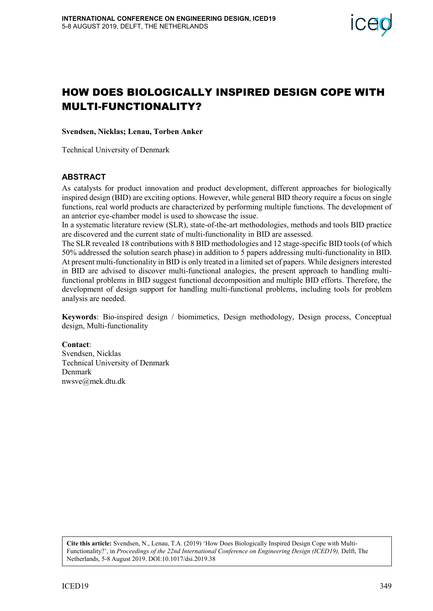

# MULTI-FUNCTIONALITY?

**Svendsen, Nicklas; Lenau, Torben Anker**

Technical University of Denmark

#### **ABSTRACT**

As catalysts for product innovation and product development, different approaches for biologically inspired design (BID) are exciting options. However, while general BID theory require a focus on single functions, real world products are characterized by performing multiple functions. The development of an anterior eye-chamber model is used to showcase the issue.

In a systematic literature review (SLR), state-of-the-art methodologies, methods and tools BID practice are discovered and the current state of multi-functionality in BID are assessed.

**HOW DOES BIOLOGICALLY INSPIRED DESIGN COPE WITH**<br> **MULT-FUNCTIONALITY?**<br>
Systember, Nicklas, I enan, Torbet Anker<br>
As Constant Biologically<br>
As Constant Biological (Internative of Denmark<br>
As Constant Biological (Internat The SLR revealed 18 contributions with 8 BID methodologies and 12 stage-specific BID tools (of which 50% addressed the solution search phase) in addition to 5 papers addressing multi-functionality in BID. At present multi-functionality in BID is only treated in a limited set of papers. While designers interested in BID are advised to discover multi-functional analogies, the present approach to handling multifunctional problems in BID suggest functional decomposition and multiple BID efforts. Therefore, the development of design support for handling multi-functional problems, including tools for problem analysis are needed.

**Keywords**: Bio-inspired design / biomimetics, Design methodology, Design process, Conceptual design, Multi-functionality

#### **Contact**:

Svendsen, Nicklas Technical University of Denmark Denmark nwsve@mek.dtu.dk

**Cite this article:** Svendsen, N., Lenau, T.A. (2019) 'How Does Biologically Inspired Design Cope with Multi-Functionality?', in *Proceedings of the 22nd International Conference on Engineering Design (ICED19),* Delft, The Netherlands, 5-8 August 2019. DOI:10.1017/dsi.2019.38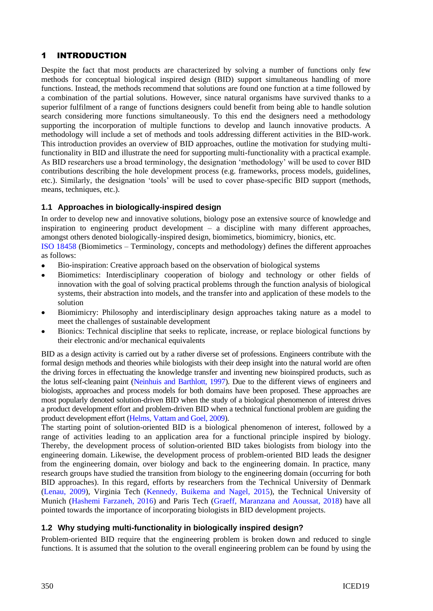## 1 INTRODUCTION

Despite the fact that most products are characterized by solving a number of functions only few methods for conceptual biological inspired design (BID) support simultaneous handling of more functions. Instead, the methods recommend that solutions are found one function at a time followed by a combination of the partial solutions. However, since natural organisms have survived thanks to a superior fulfilment of a range of functions designers could benefit from being able to handle solution search considering more functions simultaneously. To this end the designers need a methodology supporting the incorporation of multiple functions to develop and launch innovative products. A methodology will include a set of methods and tools addressing different activities in the BID-work. This introduction provides an overview of BID approaches, outline the motivation for studying multifunctionality in BID and illustrate the need for supporting multi-functionality with a practical example. As BID researchers use a broad terminology, the designation 'methodology' will be used to cover BID contributions describing the hole development process (e.g. frameworks, process models, guidelines, etc.). Similarly, the designation 'tools' will be used to cover phase-specific BID support (methods, means, techniques, etc.).

## **1.1 Approaches in biologically-inspired design**

In order to develop new and innovative solutions, biology pose an extensive source of knowledge and inspiration to engineering product development – a discipline with many different approaches, amongst others denoted biologically-inspired design, biomimetics, biomimicry, bionics, etc.

[ISO 18458](#page-9-0) (Biomimetics – Terminology, concepts and methodology) defines the different approaches as follows:

- Bio-inspiration: Creative approach based on the observation of biological systems
- Biomimetics: Interdisciplinary cooperation of biology and technology or other fields of innovation with the goal of solving practical problems through the function analysis of biological systems, their abstraction into models, and the transfer into and application of these models to the solution
- Biomimicry: Philosophy and interdisciplinary design approaches taking nature as a model to  $\bullet$ meet the challenges of sustainable development
- Bionics: Technical discipline that seeks to replicate, increase, or replace biological functions by their electronic and/or mechanical equivalents

BID as a design activity is carried out by a rather diverse set of professions. Engineers contribute with the formal design methods and theories while biologists with their deep insight into the natural world are often the driving forces in effectuating the knowledge transfer and inventing new bioinspired products, such as the lotus self-cleaning paint [\(Neinhuis and Barthlott, 1997\)](#page-9-1). Due to the different views of engineers and biologists, approaches and process models for both domains have been proposed. These approaches are most popularly denoted solution-driven BID when the study of a biological phenomenon of interest drives a product development effort and problem-driven BID when a technical functional problem are guiding the product development effort (Helms, Vattam [and Goel, 2009\)](#page-9-2).

The starting point of solution-oriented BID is a biological phenomenon of interest, followed by a range of activities leading to an application area for a functional principle inspired by biology. Thereby, the development process of solution-oriented BID takes biologists from biology into the engineering domain. Likewise, the development process of problem-oriented BID leads the designer from the engineering domain, over biology and back to the engineering domain. In practice, many research groups have studied the transition from biology to the engineering domain (occurring for both BID approaches). In this regard, efforts by researchers from the Technical University of Denmark [\(Lenau, 2009\)](#page-9-3), Virginia Tech [\(Kennedy, Buikema and Nagel, 2015\)](#page-9-4), the Technical University of Munich [\(Hashemi Farzaneh, 2016\)](#page-9-5) and Paris Tech [\(Graeff, Maranzana and Aoussat, 2018\)](#page-9-6) have all pointed towards the importance of incorporating biologists in BID development projects.

## **1.2 Why studying multi-functionality in biologically inspired design?**

Problem-oriented BID require that the engineering problem is broken down and reduced to single functions. It is assumed that the solution to the overall engineering problem can be found by using the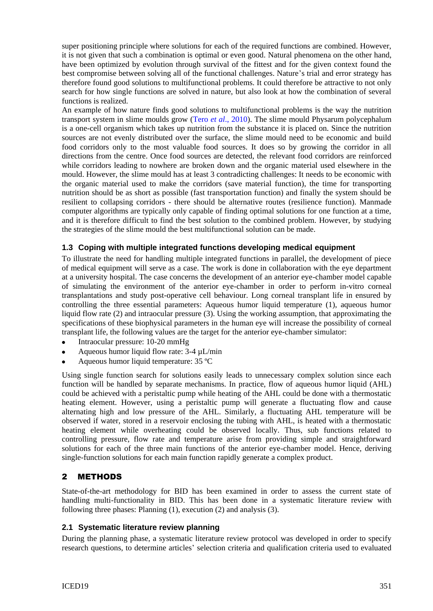super positioning principle where solutions for each of the required functions are combined. However, it is not given that such a combination is optimal or even good. Natural phenomena on the other hand, have been optimized by evolution through survival of the fittest and for the given context found the best compromise between solving all of the functional challenges. Nature's trial and error strategy has therefore found good solutions to multifunctional problems. It could therefore be attractive to not only search for how single functions are solved in nature, but also look at how the combination of several functions is realized.

An example of how nature finds good solutions to multifunctional problems is the way the nutrition transport system in slime moulds grow (Tero *et al*[., 2010\)](#page-9-7). The slime mould Physarum polycephalum is a one-cell organism which takes up nutrition from the substance it is placed on. Since the nutrition sources are not evenly distributed over the surface, the slime mould need to be economic and build food corridors only to the most valuable food sources. It does so by growing the corridor in all directions from the centre. Once food sources are detected, the relevant food corridors are reinforced while corridors leading to nowhere are broken down and the organic material used elsewhere in the mould. However, the slime mould has at least 3 contradicting challenges: It needs to be economic with the organic material used to make the corridors (save material function), the time for transporting nutrition should be as short as possible (fast transportation function) and finally the system should be resilient to collapsing corridors - there should be alternative routes (resilience function). Manmade computer algorithms are typically only capable of finding optimal solutions for one function at a time, and it is therefore difficult to find the best solution to the combined problem. However, by studying the strategies of the slime mould the best multifunctional solution can be made.

#### **1.3 Coping with multiple integrated functions developing medical equipment**

To illustrate the need for handling multiple integrated functions in parallel, the development of piece of medical equipment will serve as a case. The work is done in collaboration with the eye department at a university hospital. The case concerns the development of an anterior eye-chamber model capable of simulating the environment of the anterior eye-chamber in order to perform in-vitro corneal transplantations and study post-operative cell behaviour. Long corneal transplant life in ensured by controlling the three essential parameters: Aqueous humor liquid temperature (1), aqueous humor liquid flow rate (2) and intraocular pressure (3). Using the working assumption, that approximating the specifications of these biophysical parameters in the human eye will increase the possibility of corneal transplant life, the following values are the target for the anterior eye-chamber simulator:

- Intraocular pressure: 10-20 mmHg
- Aqueous humor liquid flow rate: 3-4 µL/min
- Aqueous humor liquid temperature: 35 ºC

Using single function search for solutions easily leads to unnecessary complex solution since each function will be handled by separate mechanisms. In practice, flow of aqueous humor liquid (AHL) could be achieved with a peristaltic pump while heating of the AHL could be done with a thermostatic heating element. However, using a peristaltic pump will generate a fluctuating flow and cause alternating high and low pressure of the AHL. Similarly, a fluctuating AHL temperature will be observed if water, stored in a reservoir enclosing the tubing with AHL, is heated with a thermostatic heating element while overheating could be observed locally. Thus, sub functions related to controlling pressure, flow rate and temperature arise from providing simple and straightforward solutions for each of the three main functions of the anterior eye-chamber model. Hence, deriving single-function solutions for each main function rapidly generate a complex product.

## 2 METHODS

State-of-the-art methodology for BID has been examined in order to assess the current state of handling multi-functionality in BID. This has been done in a systematic literature review with following three phases: Planning (1), execution (2) and analysis (3).

#### **2.1 Systematic literature review planning**

During the planning phase, a systematic literature review protocol was developed in order to specify research questions, to determine articles' selection criteria and qualification criteria used to evaluated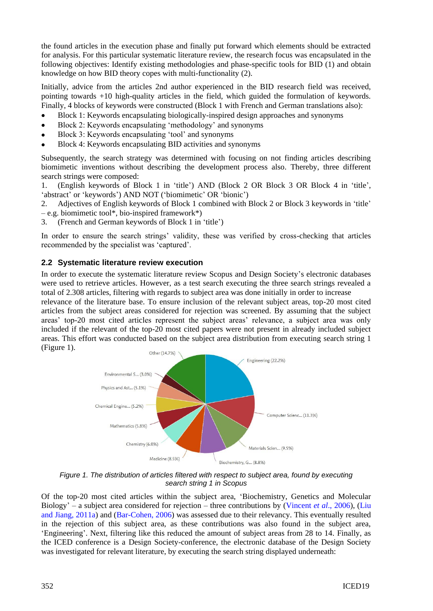the found articles in the execution phase and finally put forward which elements should be extracted for analysis. For this particular systematic literature review, the research focus was encapsulated in the following objectives: Identify existing methodologies and phase-specific tools for BID (1) and obtain knowledge on how BID theory copes with multi-functionality (2).

Initially, advice from the articles 2nd author experienced in the BID research field was received, pointing towards +10 high-quality articles in the field, which guided the formulation of keywords. Finally, 4 blocks of keywords were constructed (Block 1 with French and German translations also):

- Block 1: Keywords encapsulating biologically-inspired design approaches and synonyms
- Block 2: Keywords encapsulating 'methodology' and synonyms
- Block 3: Keywords encapsulating 'tool' and synonyms
- Block 4: Keywords encapsulating BID activities and synonyms

Subsequently, the search strategy was determined with focusing on not finding articles describing biomimetic inventions without describing the development process also. Thereby, three different search strings were composed:

1. (English keywords of Block 1 in 'title') AND (Block 2 OR Block 3 OR Block 4 in 'title', 'abstract' or 'keywords') AND NOT ('biomimetic' OR 'bionic')

2. Adjectives of English keywords of Block 1 combined with Block 2 or Block 3 keywords in 'title'

- e.g. biomimetic tool\*, bio-inspired framework\*)
- 3. (French and German keywords of Block 1 in 'title')

In order to ensure the search strings' validity, these was verified by cross-checking that articles recommended by the specialist was 'captured'.

#### **2.2 Systematic literature review execution**

In order to execute the systematic literature review Scopus and Design Society's electronic databases were used to retrieve articles. However, as a test search executing the three search strings revealed a total of 2.308 articles, filtering with regards to subject area was done initially in order to increase

relevance of the literature base. To ensure inclusion of the relevant subject areas, top-20 most cited articles from the subject areas considered for rejection was screened. By assuming that the subject areas' top-20 most cited articles represent the subject areas' relevance, a subject area was only included if the relevant of the top-20 most cited papers were not present in already included subject areas. This effort was conducted based on the subject area distribution from executing search string 1 (Figure 1).



*Figure 1. The distribution of articles filtered with respect to subject area, found by executing search string 1 in Scopus*

Of the top-20 most cited articles within the subject area, 'Biochemistry, Genetics and Molecular Biology' – a subject area considered for rejection – three contributions by [\(Vincent](#page-9-8) *et al*., 2006), [\(Liu](#page-9-9)  [and Jiang, 2011a\)](#page-9-9) and [\(Bar-Cohen, 2006\)](#page-8-0) was assessed due to their relevancy. This eventually resulted in the rejection of this subject area, as these contributions was also found in the subject area, 'Engineering'. Next, filtering like this reduced the amount of subject areas from 28 to 14. Finally, as the ICED conference is a Design Society-conference, the electronic database of the Design Society was investigated for relevant literature, by executing the search string displayed underneath: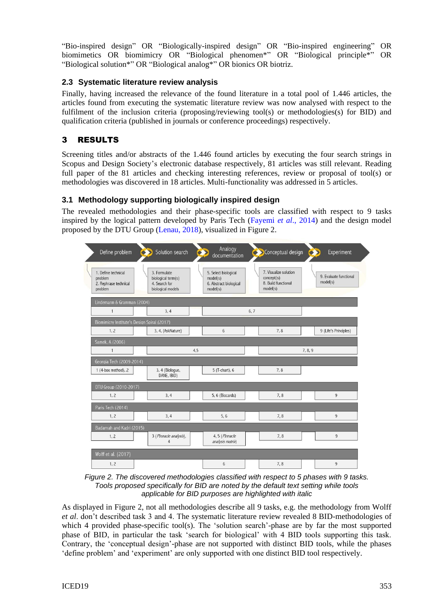"Bio-inspired design" OR "Biologically-inspired design" OR "Bio-inspired engineering" OR biomimetics OR biomimicry OR "Biological phenomen\*" OR "Biological principle\*" OR "Biological solution\*" OR "Biological analog\*" OR bionics OR biotriz.

## **2.3 Systematic literature review analysis**

Finally, having increased the relevance of the found literature in a total pool of 1.446 articles, the articles found from executing the systematic literature review was now analysed with respect to the fulfilment of the inclusion criteria (proposing/reviewing tool(s) or methodologies(s) for BID) and qualification criteria (published in journals or conference proceedings) respectively.

## 3 RESULTS

Screening titles and/or abstracts of the 1.446 found articles by executing the four search strings in Scopus and Design Society's electronic database respectively, 81 articles was still relevant. Reading full paper of the 81 articles and checking interesting references, review or proposal of tool(s) or methodologies was discovered in 18 articles. Multi-functionality was addressed in 5 articles.

## **3.1 Methodology supporting biologically inspired design**

The revealed methodologies and their phase-specific tools are classified with respect to 9 tasks inspired by the logical pattern developed by Paris Tech [\(Fayemi](#page-9-10) *et al*., 2014) and the design model proposed by the DTU Group [\(Lenau, 2018\)](#page-9-11), visualized in Figure 2.



*Figure 2. The discovered methodologies classified with respect to 5 phases with 9 tasks. Tools proposed specifically for BID are noted by the default text setting while tools applicable for BID purposes are highlighted with italic*

As displayed in Figure 2, not all methodologies describe all 9 tasks, e.g. the methodology from Wolff *et al*. don't described task 3 and 4. The systematic literature review revealed 8 BID-methodologies of which 4 provided phase-specific tool(s). The 'solution search'-phase are by far the most supported phase of BID, in particular the task 'search for biological' with 4 BID tools supporting this task. Contrary, the 'conceptual design'-phase are not supported with distinct BID tools, while the phases 'define problem' and 'experiment' are only supported with one distinct BID tool respectively.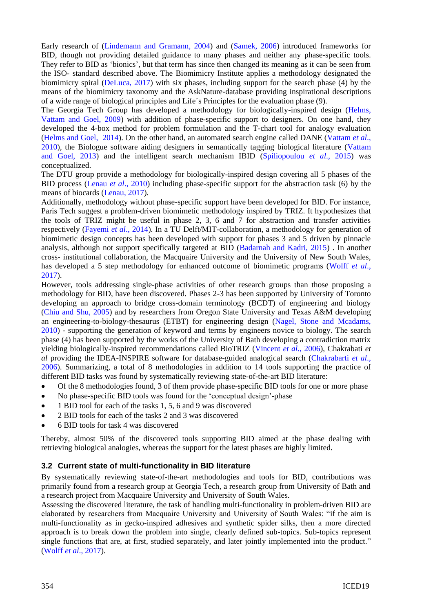Early research of [\(Lindemann and Gramann, 2004\)](#page-9-12) and [\(Samek, 2006\)](#page-9-13) introduced frameworks for BID, though not providing detailed guidance to many phases and neither any phase-specific tools. They refer to BID as 'bionics', but that term has since then changed its meaning as it can be seen from the ISO- standard described above. The Biomimicry Institute applies a methodology designated the biomimicry spiral [\(DeLuca, 2017\)](#page-8-1) with six phases, including support for the search phase (4) by the means of the biomimicry taxonomy and the AskNature-database providing inspirational descriptions of a wide range of biological principles and Life´s Principles for the evaluation phase (9).

The Georgia Tech Group has developed a methodology for biologically-inspired design [\(Helms,](#page-9-2)  [Vattam and Goel, 2009\)](#page-9-2) with addition of phase-specific support to designers. On one hand, they developed the 4-box method for problem formulation and the T-chart tool for analogy evaluation [\(Helms and Goel, 2014\)](#page-9-14). On the other hand, an automated search engine called DANE [\(Vattam](#page-9-15) *et al*., [2010\)](#page-9-15), the Biologue software aiding designers in semantically tagging biological literature [\(Vattam](#page-9-16)  [and Goel, 2013\)](#page-9-16) and the intelligent search mechanism IBID [\(Spiliopoulou](#page-9-17) *et al*., 2015) was conceptualized.

The DTU group provide a methodology for biologically-inspired design covering all 5 phases of the BID process (Lenau *et al*[., 2010\)](#page-9-18) including phase-specific support for the abstraction task (6) by the means of biocards [\(Lenau, 2017\)](#page-9-19).

Additionally, methodology without phase-specific support have been developed for BID. For instance, Paris Tech suggest a problem-driven biomimetic methodology inspired by TRIZ. It hypothesizes that the tools of TRIZ might be useful in phase 2, 3, 6 and 7 for abstraction and transfer activities respectively [\(Fayemi](#page-9-10) *et al*., 2014). In a TU Delft/MIT-collaboration, a methodology for generation of biomimetic design concepts has been developed with support for phases 3 and 5 driven by pinnacle analysis, although not support specifically targeted at BID [\(Badarnah and Kadri, 2015\)](#page-8-2) . In another cross- institutional collaboration, the Macquaire University and the University of New South Wales, has developed a 5 step methodology for enhanced outcome of biomimetic programs [\(Wolff](#page-9-20) *et al*., [2017\)](#page-9-20).

However, tools addressing single-phase activities of other research groups than those proposing a methodology for BID, have been discovered. Phases 2-3 has been supported by University of Toronto developing an approach to bridge cross-domain terminology (BCDT) of engineering and biology [\(Chiu and Shu, 2005\)](#page-8-3) and by researchers from Oregon State University and Texas A&M developing an engineering-to-biology-thesaurus (ETBT) for engineering design [\(Nagel, Stone and Mcadams,](#page-9-21)  [2010\)](#page-9-21) - supporting the generation of keyword and terms by engineers novice to biology. The search phase (4) has been supported by the works of the University of Bath developing a contradiction matrix yielding biologically-inspired recommendations called BioTRIZ [\(Vincent](#page-9-8) *et al*., 2006), Chakrabati *et al* providing the IDEA-INSPIRE software for database-guided analogical search [\(Chakrabarti](#page-8-4) *et al*., [2006\)](#page-8-4). Summarizing, a total of 8 methodologies in addition to 14 tools supporting the practice of different BID tasks was found by systematically reviewing state-of-the-art BID literature:

- Of the 8 methodologies found, 3 of them provide phase-specific BID tools for one or more phase
- No phase-specific BID tools was found for the 'conceptual design'-phase  $\bullet$
- 1 BID tool for each of the tasks 1, 5, 6 and 9 was discovered
- 2 BID tools for each of the tasks 2 and 3 was discovered
- 6 BID tools for task 4 was discovered

Thereby, almost 50% of the discovered tools supporting BID aimed at the phase dealing with retrieving biological analogies, whereas the support for the latest phases are highly limited.

#### **3.2 Current state of multi-functionality in BID literature**

By systematically reviewing state-of-the-art methodologies and tools for BID, contributions was primarily found from a research group at Georgia Tech, a research group from University of Bath and a research project from Macquaire University and University of South Wales.

Assessing the discovered literature, the task of handling multi-functionality in problem-driven BID are elaborated by researchers from Macquaire University and University of South Wales: "if the aim is multi-functionality as in gecko-inspired adhesives and synthetic spider silks, then a more directed approach is to break down the problem into single, clearly defined sub-topics. Sub-topics represent single functions that are, at first, studied separately, and later jointly implemented into the product." (Wolff *et al*[., 2017\)](#page-9-20).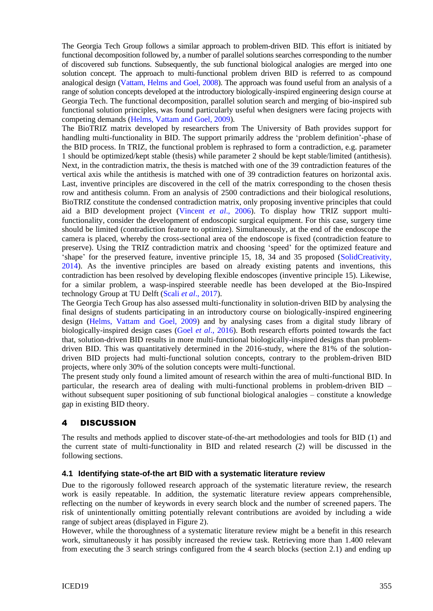The Georgia Tech Group follows a similar approach to problem-driven BID. This effort is initiated by functional decomposition followed by, a number of parallel solutions searches corresponding to the number of discovered sub functions. Subsequently, the sub functional biological analogies are merged into one solution concept. The approach to multi-functional problem driven BID is referred to as compound analogical design [\(Vattam, Helms and Goel, 2008\)](#page-9-22). The approach was found useful from an analysis of a range of solution concepts developed at the introductory biologically-inspired engineering design course at Georgia Tech. The functional decomposition, parallel solution search and merging of bio-inspired sub functional solution principles, was found particularly useful when designers were facing projects with competing demands [\(Helms, Vattam and Goel, 2009\)](#page-9-2).

The BioTRIZ matrix developed by researchers from The University of Bath provides support for handling multi-functionality in BID. The support primarily address the 'problem definition'-phase of the BID process. In TRIZ, the functional problem is rephrased to form a contradiction, e.g. parameter 1 should be optimized/kept stable (thesis) while parameter 2 should be kept stable/limited (antithesis). Next, in the contradiction matrix, the thesis is matched with one of the 39 contradiction features of the vertical axis while the antithesis is matched with one of 39 contradiction features on horizontal axis. Last, inventive principles are discovered in the cell of the matrix corresponding to the chosen thesis row and antithesis column. From an analysis of 2500 contradictions and their biological resolutions, BioTRIZ constitute the condensed contradiction matrix, only proposing inventive principles that could aid a BID development project [\(Vincent](#page-9-8) *et al*., 2006). To display how TRIZ support multifunctionality, consider the development of endoscopic surgical equipment. For this case, surgery time should be limited (contradiction feature to optimize). Simultaneously, at the end of the endoscope the camera is placed, whereby the cross-sectional area of the endoscope is fixed (contradiction feature to preserve). Using the TRIZ contradiction matrix and choosing 'speed' for the optimized feature and 'shape' for the preserved feature, inventive principle 15, 18, 34 and 35 proposed [\(SolidCreativity,](#page-9-23)  [2014\)](#page-9-23). As the inventive principles are based on already existing patents and inventions, this contradiction has been resolved by developing flexible endoscopes (inventive principle 15). Likewise, for a similar problem, a wasp-inspired steerable needle has been developed at the Bio-Inspired technology Group at TU Delft (Scali *et al*[., 2017\)](#page-9-24).

The Georgia Tech Group has also assessed multi-functionality in solution-driven BID by analysing the final designs of students participating in an introductory course on biologically-inspired engineering design [\(Helms, Vattam and Goel, 2009\)](#page-9-2) and by analysing cases from a digital study library of biologically-inspired design cases (Goel *et al*[., 2016\)](#page-9-25). Both research efforts pointed towards the fact that, solution-driven BID results in more multi-functional biologically-inspired designs than problemdriven BID. This was quantitatively determined in the 2016-study, where the 81% of the solutiondriven BID projects had multi-functional solution concepts, contrary to the problem-driven BID projects, where only 30% of the solution concepts were multi-functional.

The present study only found a limited amount of research within the area of multi-functional BID. In particular, the research area of dealing with multi-functional problems in problem-driven BID – without subsequent super positioning of sub functional biological analogies – constitute a knowledge gap in existing BID theory.

## 4 DISCUSSION

The results and methods applied to discover state-of-the-art methodologies and tools for BID (1) and the current state of multi-functionality in BID and related research (2) will be discussed in the following sections.

#### **4.1 Identifying state-of-the art BID with a systematic literature review**

Due to the rigorously followed research approach of the systematic literature review, the research work is easily repeatable. In addition, the systematic literature review appears comprehensible, reflecting on the number of keywords in every search block and the number of screened papers. The risk of unintentionally omitting potentially relevant contributions are avoided by including a wide range of subject areas (displayed in Figure 2).

However, while the thoroughness of a systematic literature review might be a benefit in this research work, simultaneously it has possibly increased the review task. Retrieving more than 1.400 relevant from executing the 3 search strings configured from the 4 search blocks (section 2.1) and ending up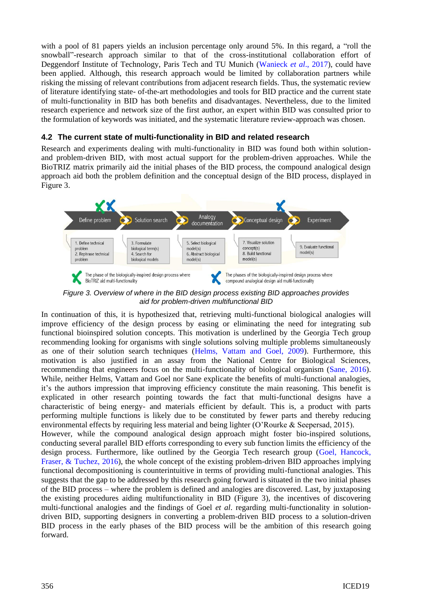with a pool of 81 papers yields an inclusion percentage only around 5%. In this regard, a "roll the snowball"-research approach similar to that of the cross-institutional collaboration effort of Deggendorf Institute of Technology, Paris Tech and TU Munich [\(Wanieck](#page-9-26) *et al*., 2017), could have been applied. Although, this research approach would be limited by collaboration partners while risking the missing of relevant contributions from adjacent research fields. Thus, the systematic review of literature identifying state- of-the-art methodologies and tools for BID practice and the current state of multi-functionality in BID has both benefits and disadvantages. Nevertheless, due to the limited research experience and network size of the first author, an expert within BID was consulted prior to the formulation of keywords was initiated, and the systematic literature review-approach was chosen.

#### **4.2 The current state of multi-functionality in BID and related research**

Research and experiments dealing with multi-functionality in BID was found both within solutionand problem-driven BID, with most actual support for the problem-driven approaches. While the BioTRIZ matrix primarily aid the initial phases of the BID process, the compound analogical design approach aid both the problem definition and the conceptual design of the BID process, displayed in Figure 3.



*Figure 3. Overview of where in the BID design process existing BID approaches provides aid for problem-driven multifunctional BID*

In continuation of this, it is hypothesized that, retrieving multi-functional biological analogies will improve efficiency of the design process by easing or eliminating the need for integrating sub functional bioinspired solution concepts. This motivation is underlined by the Georgia Tech group recommending looking for organisms with single solutions solving multiple problems simultaneously as one of their solution search techniques [\(Helms, Vattam and Goel, 2009\)](#page-9-2). Furthermore, this motivation is also justified in an assay from the National Centre for Biological Sciences, recommending that engineers focus on the multi-functionality of biological organism [\(Sane, 2016\)](#page-9-27). While, neither Helms, Vattam and Goel nor Sane explicate the benefits of multi-functional analogies, it's the authors impression that improving efficiency constitute the main reasoning. This benefit is explicated in other research pointing towards the fact that multi-functional designs have a characteristic of being energy- and materials efficient by default. This is, a product with parts performing multiple functions is likely due to be constituted by fewer parts and thereby reducing environmental effects by requiring less material and being lighter (O'Rourke & Seepersad, 2015). However, while the compound analogical design approach might foster bio-inspired solutions, conducting several parallel BID efforts corresponding to every sub function limits the efficiency of the design process. Furthermore, like outlined by the Georgia Tech research group [\(Goel, Hancock,](#page-9-25)  [Fraser, & Tuchez, 2016\)](#page-9-25), the whole concept of the existing problem-driven BID approaches implying

functional decompositioning is counterintuitive in terms of providing multi-functional analogies. This suggests that the gap to be addressed by this research going forward is situated in the two initial phases of the BID process – where the problem is defined and analogies are discovered. Last, by juxtaposing the existing procedures aiding multifunctionality in BID (Figure 3), the incentives of discovering multi-functional analogies and the findings of Goel *et al*. regarding multi-functionality in solutiondriven BID, supporting designers in converting a problem-driven BID process to a solution-driven BID process in the early phases of the BID process will be the ambition of this research going forward.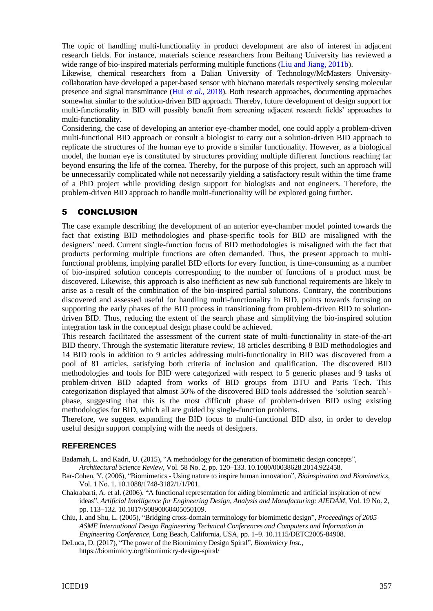The topic of handling multi-functionality in product development are also of interest in adjacent research fields. For instance, materials science researchers from Beihang University has reviewed a wide range of bio-inspired materials performing multiple functions [\(Liu and Jiang, 2011b\)](#page-9-28).

Likewise, chemical researchers from a Dalian University of Technology/McMasters Universitycollaboration have developed a paper-based sensor with bio/nano materials respectively sensing molecular presence and signal transmittance (Hui *et al*[., 2018\)](#page-9-29). Both research approaches, documenting approaches somewhat similar to the solution-driven BID approach. Thereby, future development of design support for multi-functionality in BID will possibly benefit from screening adjacent research fields' approaches to multi-functionality.

Considering, the case of developing an anterior eye-chamber model, one could apply a problem-driven multi-functional BID approach or consult a biologist to carry out a solution-driven BID approach to replicate the structures of the human eye to provide a similar functionality. However, as a biological model, the human eye is constituted by structures providing multiple different functions reaching far beyond ensuring the life of the cornea. Thereby, for the purpose of this project, such an approach will be unnecessarily complicated while not necessarily yielding a satisfactory result within the time frame of a PhD project while providing design support for biologists and not engineers. Therefore, the problem-driven BID approach to handle multi-functionality will be explored going further.

## 5 CONCLUSION

The case example describing the development of an anterior eye-chamber model pointed towards the fact that existing BID methodologies and phase-specific tools for BID are misaligned with the designers' need. Current single-function focus of BID methodologies is misaligned with the fact that products performing multiple functions are often demanded. Thus, the present approach to multifunctional problems, implying parallel BID efforts for every function, is time-consuming as a number of bio-inspired solution concepts corresponding to the number of functions of a product must be discovered. Likewise, this approach is also inefficient as new sub functional requirements are likely to arise as a result of the combination of the bio-inspired partial solutions. Contrary, the contributions discovered and assessed useful for handling multi-functionality in BID, points towards focusing on supporting the early phases of the BID process in transitioning from problem-driven BID to solutiondriven BID. Thus, reducing the extent of the search phase and simplifying the bio-inspired solution integration task in the conceptual design phase could be achieved.

This research facilitated the assessment of the current state of multi-functionality in state-of-the-art BID theory. Through the systematic literature review, 18 articles describing 8 BID methodologies and 14 BID tools in addition to 9 articles addressing multi-functionality in BID was discovered from a pool of 81 articles, satisfying both criteria of inclusion and qualification. The discovered BID methodologies and tools for BID were categorized with respect to 5 generic phases and 9 tasks of problem-driven BID adapted from works of BID groups from DTU and Paris Tech. This categorization displayed that almost 50% of the discovered BID tools addressed the 'solution search' phase, suggesting that this is the most difficult phase of problem-driven BID using existing methodologies for BID, which all are guided by single-function problems.

Therefore, we suggest expanding the BID focus to multi-functional BID also, in order to develop useful design support complying with the needs of designers.

#### **REFERENCES**

<span id="page-8-2"></span>Badarnah, L. and Kadri, U. (2015), "A methodology for the generation of biomimetic design concepts", *Architectural Science Review*, Vol. 58 No. 2, pp. 120–133. 10.1080/00038628.2014.922458.

- <span id="page-8-0"></span>Bar-Cohen, Y. (2006), "Biomimetics - Using nature to inspire human innovation", *Bioinspiration and Biomimetics*, Vol. 1 No. 1. 10.1088/1748-3182/1/1/P01.
- <span id="page-8-4"></span>Chakrabarti, A. et al. (2006), "A functional representation for aiding biomimetic and artificial inspiration of new ideas", *Artificial Intelligence for Engineering Design, Analysis and Manufacturing: AIEDAM*, Vol. 19 No. 2, pp. 113–132. 10.1017/S0890060405050109.
- <span id="page-8-3"></span>Chiu, I. and Shu, L. (2005), "Bridging cross-domain terminology for biomimetic design", *Proceedings of 2005 ASME International Design Engineering Technical Conferences and Computers and Information in Engineering Conference*, Long Beach, California, USA, pp. 1–9. 10.1115/DETC2005-84908.
- <span id="page-8-1"></span>DeLuca, D. (2017), "The power of the Biomimicry Design Spiral", *Biomimicry Inst*., <https://biomimicry.org/biomimicry-design-spiral/>